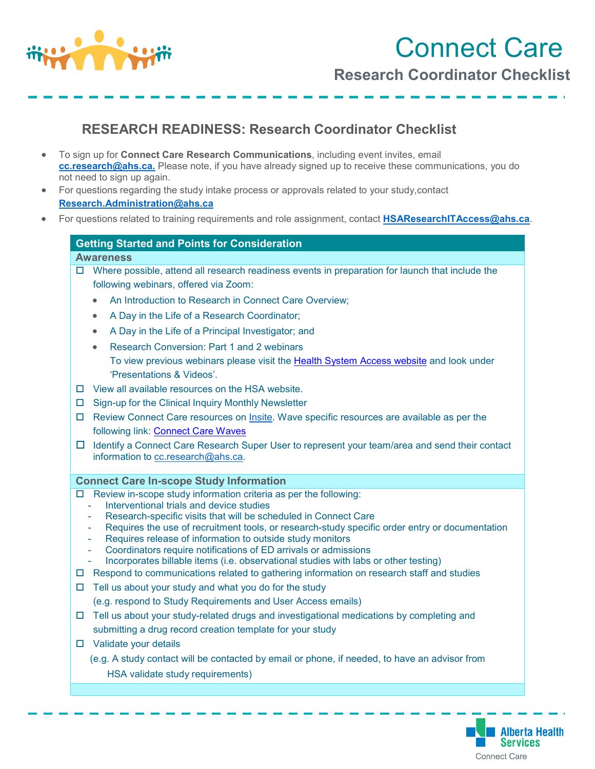

Connect Care **Research Coordinator Checklist**

## **RESEARCH READINESS: Research Coordinator Checklist**

- To sign up for **Connect Care Research Communications**, including event invites, email **[cc.research@ahs.ca.](mailto:cc.research@ahs.ca)** Please note, if you have already signed up to receive these communications, you do not need to sign up again.
- For questions regarding the study intake process or approvals related to your study,contact **[Research.Administration@ahs.ca](mailto:Research.Administration@ahs.ca)**
- For questions related to training requirements and role assignment, contact **[HSAResearchITAccess@ahs.ca](mailto:HSAResearchITAccess@ahs.ca)**.

## **Getting Started and Points for Consideration**

## **Awareness**

- $\Box$  Where possible, attend all research readiness events in preparation for launch that include the following webinars, offered via Zoom:
	- An Introduction to Research in Connect Care Overview;
	- A Day in the Life of a Research Coordinator;
	- A Day in the Life of a Principal Investigator; and
	- Research Conversion: Part 1 and 2 webinars To view previous webinars please visit the [Health System Access website](https://extranet.ahsnet.ca/teams/AHSRA/SitePages/Home.aspx) and look under 'Presentations & Videos'.
- $\square$  View all available resources on the HSA website.
- $\Box$  Sign-up for the Clinical Inquiry Monthly Newsletter
- $\Box$  Review Connect Care resources on [Insite.](https://insite.albertahealthservices.ca/cis/Page12170.aspx) Wave specific resources are available as per the following link: [Connect Care Waves](https://insite.albertahealthservices.ca/cis/Page25311.aspx)
- Identify a Connect Care Research Super User to represent your team/area and send their contact information to [cc.research@ahs.ca.](mailto:cc.research@ahs.ca)

## **Connect Care In-scope Study Information**

- $\Box$  Review in-scope study information criteria as per the following:
	- Interventional trials and device studies
	- Research-specific visits that will be scheduled in Connect Care
	- Requires the use of recruitment tools, or research-study specific order entry or documentation
	- Requires release of information to outside study monitors
	- Coordinators require notifications of ED arrivals or admissions
	- Incorporates billable items (i.e. observational studies with labs or other testing)
- $\Box$  Respond to communications related to gathering information on research staff and studies
- $\Box$  Tell us about your study and what you do for the study (e.g. respond to Study Requirements and User Access emails)
- $\Box$  Tell us about your study-related drugs and investigational medications by completing and submitting a drug record creation template for your study
- □ Validate your details
	- (e.g. A study contact will be contacted by email or phone, if needed, to have an advisor from HSA validate study requirements)